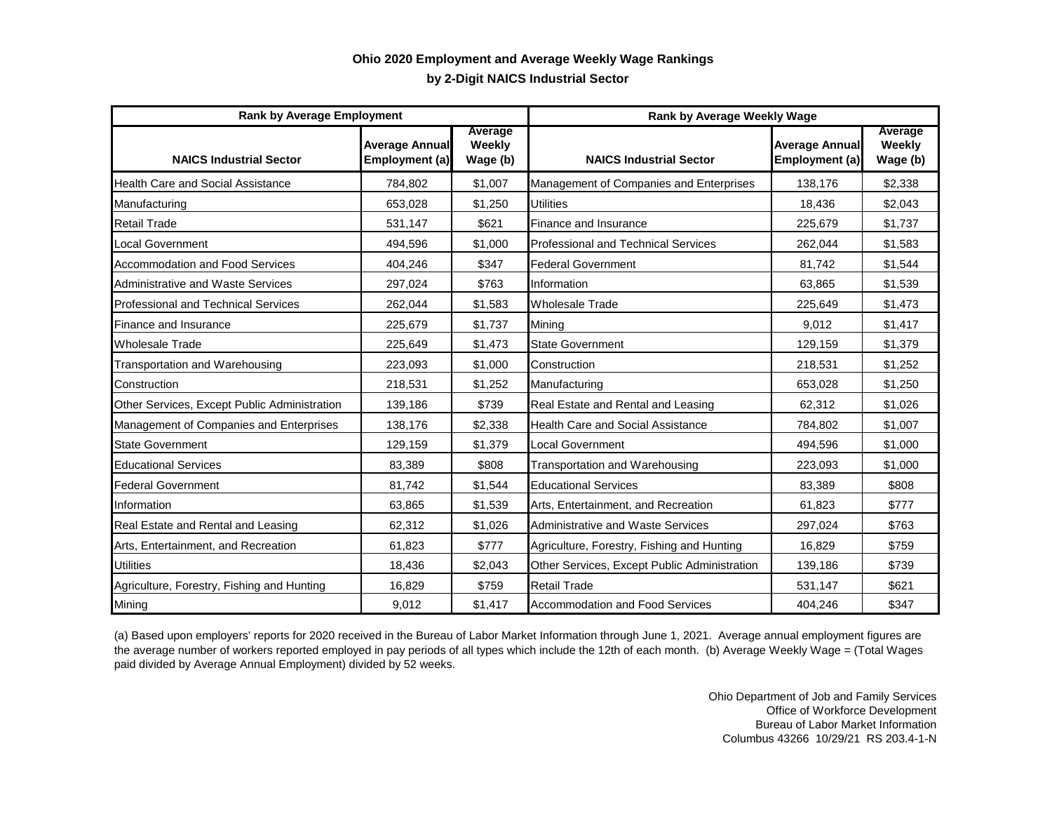## **by 2-Digit NAICS Industrial Sector Ohio 2020 Employment and Average Weekly Wage Rankings**

| <b>Rank by Average Employment</b>            |                                         |                               | Rank by Average Weekly Wage                  |                                         |                               |
|----------------------------------------------|-----------------------------------------|-------------------------------|----------------------------------------------|-----------------------------------------|-------------------------------|
| <b>NAICS Industrial Sector</b>               | <b>Average Annual</b><br>Employment (a) | Average<br>Weekly<br>Wage (b) | <b>NAICS Industrial Sector</b>               | <b>Average Annual</b><br>Employment (a) | Average<br>Weekly<br>Wage (b) |
| <b>Health Care and Social Assistance</b>     | 784,802                                 | \$1,007                       | Management of Companies and Enterprises      | 138,176                                 | \$2,338                       |
| Manufacturing                                | 653,028                                 | \$1,250                       | <b>Utilities</b>                             | 18,436                                  | \$2,043                       |
| <b>Retail Trade</b>                          | 531,147                                 | \$621                         | Finance and Insurance                        | 225,679                                 | \$1,737                       |
| <b>Local Government</b>                      | 494,596                                 | \$1,000                       | <b>Professional and Technical Services</b>   | 262,044                                 | \$1,583                       |
| Accommodation and Food Services              | 404,246                                 | \$347                         | <b>Federal Government</b>                    | 81,742                                  | \$1,544                       |
| Administrative and Waste Services            | 297,024                                 | \$763                         | Information                                  | 63,865                                  | \$1,539                       |
| <b>Professional and Technical Services</b>   | 262,044                                 | \$1,583                       | <b>Wholesale Trade</b>                       | 225,649                                 | \$1,473                       |
| Finance and Insurance                        | 225,679                                 | \$1,737                       | Mining                                       | 9.012                                   | \$1,417                       |
| <b>Wholesale Trade</b>                       | 225,649                                 | \$1,473                       | <b>State Government</b>                      | 129,159                                 | \$1,379                       |
| Transportation and Warehousing               | 223,093                                 | \$1,000                       | Construction                                 | 218,531                                 | \$1,252                       |
| Construction                                 | 218,531                                 | \$1,252                       | Manufacturing                                | 653,028                                 | \$1,250                       |
| Other Services, Except Public Administration | 139,186                                 | \$739                         | Real Estate and Rental and Leasing           | 62,312                                  | \$1,026                       |
| Management of Companies and Enterprises      | 138,176                                 | \$2,338                       | <b>Health Care and Social Assistance</b>     | 784,802                                 | \$1,007                       |
| <b>State Government</b>                      | 129,159                                 | \$1.379                       | Local Government                             | 494,596                                 | \$1,000                       |
| <b>Educational Services</b>                  | 83,389                                  | \$808                         | Transportation and Warehousing               | 223,093                                 | \$1,000                       |
| <b>Federal Government</b>                    | 81.742                                  | \$1,544                       | <b>Educational Services</b>                  | 83.389                                  | \$808                         |
| Information                                  | 63.865                                  | \$1,539                       | Arts, Entertainment, and Recreation          | 61,823                                  | \$777                         |
| Real Estate and Rental and Leasing           | 62,312                                  | \$1,026                       | <b>Administrative and Waste Services</b>     | 297,024                                 | \$763                         |
| Arts, Entertainment, and Recreation          | 61,823                                  | \$777                         | Agriculture, Forestry, Fishing and Hunting   | 16.829                                  | \$759                         |
| <b>Utilities</b>                             | 18,436                                  | \$2,043                       | Other Services, Except Public Administration | 139,186                                 | \$739                         |
| Agriculture, Forestry, Fishing and Hunting   | 16,829                                  | \$759                         | <b>Retail Trade</b>                          | 531,147                                 | \$621                         |
| Mining                                       | 9,012                                   | \$1,417                       | <b>Accommodation and Food Services</b>       | 404,246                                 | \$347                         |

(a) Based upon employers' reports for 2020 received in the Bureau of Labor Market Information through June 1, 2021. Average annual employment figures are the average number of workers reported employed in pay periods of all types which include the 12th of each month. (b) Average Weekly Wage = (Total Wages paid divided by Average Annual Employment) divided by 52 weeks.

> Ohio Department of Job and Family Services Office of Workforce Development Bureau of Labor Market Information Columbus 43266 10/29/21 RS 203.4-1-N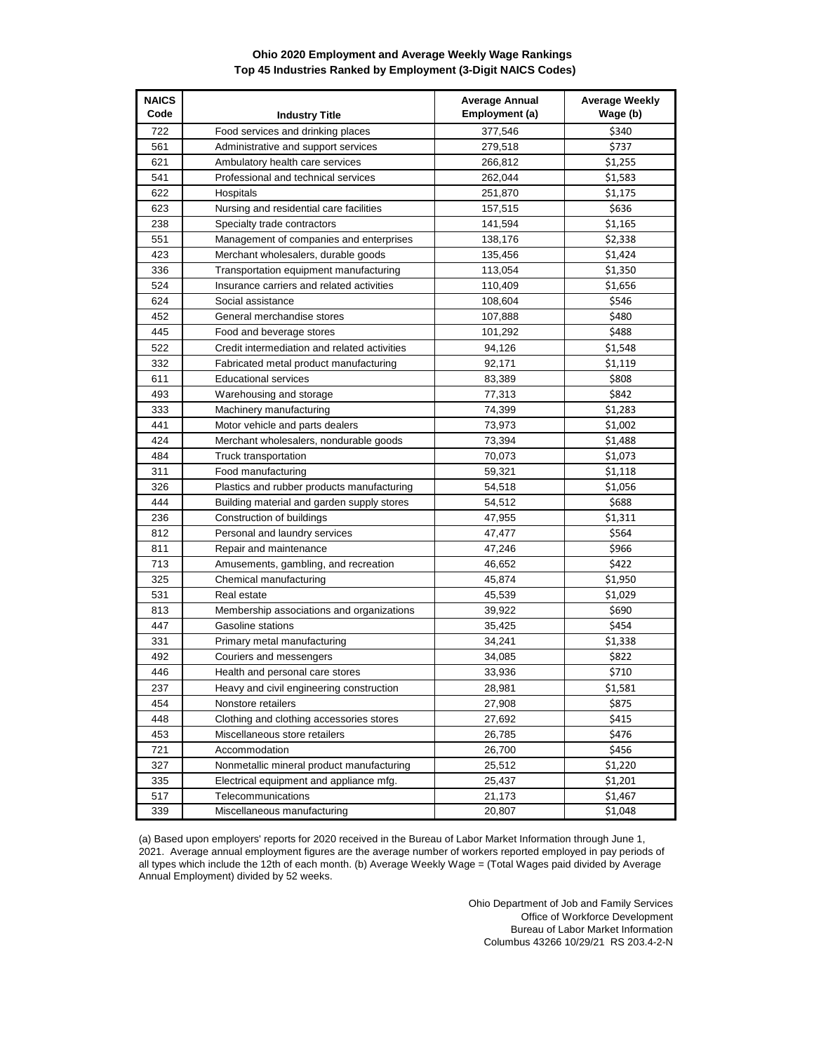## **Ohio 2020 Employment and Average Weekly Wage Rankings Top 45 Industries Ranked by Employment (3-Digit NAICS Codes)**

| <b>NAICS</b><br>Code | <b>Industry Title</b>                        | <b>Average Annual</b><br>Employment (a) | <b>Average Weekly</b><br>Wage (b) |  |
|----------------------|----------------------------------------------|-----------------------------------------|-----------------------------------|--|
| 722                  | Food services and drinking places            | 377,546                                 | \$340                             |  |
| 561                  | Administrative and support services          | 279,518                                 | \$737                             |  |
| 621                  | Ambulatory health care services              | 266,812                                 | \$1,255                           |  |
| 541                  | Professional and technical services          | 262,044                                 | \$1,583                           |  |
| 622                  | Hospitals                                    | 251,870                                 | \$1,175                           |  |
| 623                  | Nursing and residential care facilities      | 157,515                                 | \$636                             |  |
| 238                  | Specialty trade contractors                  | 141,594                                 | \$1,165                           |  |
| 551                  | Management of companies and enterprises      | 138,176                                 | \$2,338                           |  |
| 423                  | Merchant wholesalers, durable goods          | 135,456                                 | \$1,424                           |  |
| 336                  | Transportation equipment manufacturing       | 113,054                                 | \$1,350                           |  |
| 524                  | Insurance carriers and related activities    | 110,409                                 | \$1,656                           |  |
| 624                  | Social assistance                            | 108,604                                 | \$546                             |  |
| 452                  | General merchandise stores                   | 107,888                                 | \$480                             |  |
| 445                  | Food and beverage stores                     | 101,292                                 | \$488                             |  |
| 522                  | Credit intermediation and related activities | 94,126                                  | \$1,548                           |  |
| 332                  | Fabricated metal product manufacturing       | 92,171                                  | \$1,119                           |  |
| 611                  | <b>Educational services</b>                  | 83,389                                  | \$808                             |  |
| 493                  | Warehousing and storage                      | 77,313                                  | \$842                             |  |
| 333                  | Machinery manufacturing                      | 74,399                                  | \$1,283                           |  |
| 441                  | Motor vehicle and parts dealers              | 73,973                                  | \$1,002                           |  |
| 424                  | Merchant wholesalers, nondurable goods       | 73,394                                  | \$1,488                           |  |
| 484                  | Truck transportation                         | 70,073                                  | \$1,073                           |  |
| 311                  | Food manufacturing                           | 59,321                                  | \$1,118                           |  |
| 326                  | Plastics and rubber products manufacturing   | 54,518                                  | \$1,056                           |  |
| 444                  | Building material and garden supply stores   | 54,512                                  | \$688                             |  |
| 236                  | Construction of buildings                    | 47,955                                  | \$1,311                           |  |
| 812                  | Personal and laundry services                | 47,477                                  | \$564                             |  |
| 811                  | Repair and maintenance                       | 47,246                                  | \$966                             |  |
| 713                  | Amusements, gambling, and recreation         | 46,652                                  | \$422                             |  |
| 325                  | Chemical manufacturing                       | 45,874                                  | \$1,950                           |  |
| 531                  | Real estate                                  | 45,539                                  | \$1,029                           |  |
| 813                  | Membership associations and organizations    | 39,922                                  | \$690                             |  |
| 447                  | Gasoline stations                            | 35,425                                  | \$454                             |  |
| 331                  | Primary metal manufacturing                  | 34,241                                  | \$1,338                           |  |
| 492                  | Couriers and messengers                      | 34,085                                  | \$822                             |  |
| 446                  | Health and personal care stores              | 33,936                                  | \$710                             |  |
| 237                  | Heavy and civil engineering construction     | 28,981                                  | \$1,581                           |  |
| 454                  | Nonstore retailers                           | 27,908                                  | \$875                             |  |
| 448                  | Clothing and clothing accessories stores     | 27,692                                  | \$415                             |  |
| 453                  | Miscellaneous store retailers                | 26,785                                  | \$476                             |  |
| 721                  | Accommodation                                | 26,700                                  | \$456                             |  |
| 327                  | Nonmetallic mineral product manufacturing    | 25,512                                  | \$1,220                           |  |
| 335                  | Electrical equipment and appliance mfg.      | 25,437                                  | \$1,201                           |  |
| 517                  | Telecommunications                           | 21,173                                  | \$1,467                           |  |
| 339                  | Miscellaneous manufacturing                  | 20,807                                  | \$1,048                           |  |

(a) Based upon employers' reports for 2020 received in the Bureau of Labor Market Information through June 1, 2021. Average annual employment figures are the average number of workers reported employed in pay periods of all types which include the 12th of each month. (b) Average Weekly Wage = (Total Wages paid divided by Average Annual Employment) divided by 52 weeks.

> Ohio Department of Job and Family Services Office of Workforce Development Bureau of Labor Market Information Columbus 43266 10/29/21 RS 203.4-2-N